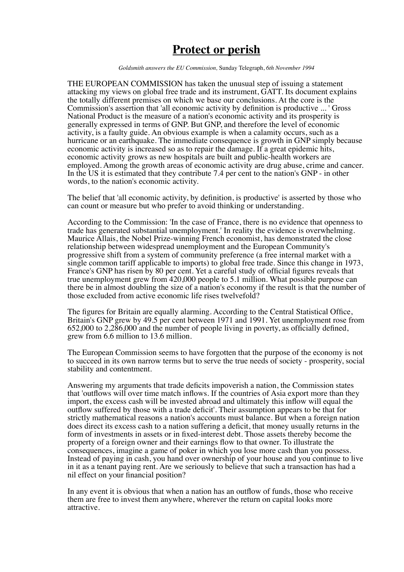## **Protect or perish**

*Goldsmith answers the EU Commission,* Sunday Telegraph, *6th November 1994* 

THE EUROPEAN COMMISSION has taken the unusual step of issuing a statement attacking my views on global free trade and its instrument, GATT. Its document explains the totally different premises on which we base our conclusions. At the core is the Commission's assertion that 'all economic activity by definition is productive ... ' Gross National Product is the measure of a nation's economic activity and its prosperity is generally expressed in terms of GNP. But GNP, and therefore the level of economic activity, is a faulty guide. An obvious example is when a calamity occurs, such as a hurricane or an earthquake. The immediate consequence is growth in GNP simply because economic activity is increased so as to repair the damage. If a great epidemic hits, economic activity grows as new hospitals are built and public-health workers are employed. Among the growth areas of economic activity are drug abuse, crime and cancer. In the US it is estimated that they contribute 7.4 per cent to the nation's GNP - in other words, to the nation's economic activity.

The belief that 'all economic activity, by definition, is productive' is asserted by those who can count or measure but who prefer to avoid thinking or understanding.

According to the Commission: 'In the case of France, there is no evidence that openness to trade has generated substantial unemployment.' In reality the evidence is overwhelming. Maurice Allais, the Nobel Prize-winning French economist, has demonstrated the close relationship between widespread unemployment and the European Community's progressive shift from a system of community preference (a free internal market with a single common tariff applicable to imports) to global free trade. Since this change in 1973, France's GNP has risen by 80 per cent. Yet a careful study of official figures reveals that true unemployment grew from 420,000 people to 5.1 million. What possible purpose can there be in almost doubling the size of a nation's economy if the result is that the number of those excluded from active economic life rises twelvefold?

The figures for Britain are equally alarming. According to the Central Statistical Office, Britain's GNP grew by 49.5 per cent between 1971 and 1991. Yet unemployment rose from 652,000 to 2,286,000 and the number of people living in poverty, as officially defined, grew from 6.6 million to 13.6 million.

The European Commission seems to have forgotten that the purpose of the economy is not to succeed in its own narrow terms but to serve the true needs of society - prosperity, social stability and contentment.

Answering my arguments that trade deficits impoverish a nation, the Commission states that 'outflows will over time match inflows. If the countries of Asia export more than they import, the excess cash will be invested abroad and ultimately this inflow will equal the outflow suffered by those with a trade deficit'. Their assumption appears to be that for strictly mathematical reasons a nation's accounts must balance. But when a foreign nation does direct its excess cash to a nation suffering a deficit, that money usually returns in the form of investments in assets or in fixed-interest debt. Those assets thereby become the property of a foreign owner and their earnings flow to that owner. To illustrate the consequences, imagine a game of poker in which you lose more cash than you possess. Instead of paying in cash, you hand over ownership of your house and you continue to live in it as a tenant paying rent. Are we seriously to believe that such a transaction has had a nil effect on your financial position?

In any event it is obvious that when a nation has an outflow of funds, those who receive them are free to invest them anywhere, wherever the return on capital looks more attractive.